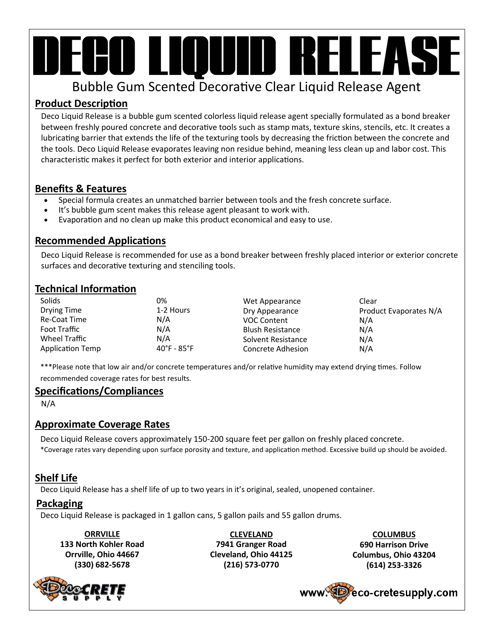# DECO LIQUID RELEASI

# Bubble Gum Scented Decorative Clear Liquid Release Agent

# **Product Description**

Deco Liquid Release is a bubble gum scented colorless liquid release agent specially formulated as a bond breaker between freshly poured concrete and decorative tools such as stamp mats, texture skins, stencils, etc. It creates a lubricating barrier that extends the life of the texturing tools by decreasing the friction between the concrete and the tools. Deco Liquid Release evaporates leaving non residue behind, meaning less clean up and labor cost. This characteristic makes it perfect for both exterior and interior applications.

# **Benefits & Features**

- Special formula creates an unmatched barrier between tools and the fresh concrete surface.
- It's bubble gum scent makes this release agent pleasant to work with.
- Evaporation and no clean up make this product economical and easy to use.

## **Recommended Applications**

Deco Liquid Release is recommended for use as a bond breaker between freshly placed interior or exterior concrete surfaces and decorative texturing and stenciling tools.

#### **Technical Information**

| Solids                  | 0%                          | Wet Appearance          | Clear                  |
|-------------------------|-----------------------------|-------------------------|------------------------|
| Drying Time             | 1-2 Hours                   | Dry Appearance          | Product Evaporates N/A |
| Re-Coat Time            | N/A                         | <b>VOC Content</b>      | N/A                    |
| <b>Foot Traffic</b>     | N/A                         | <b>Blush Resistance</b> | N/A                    |
| Wheel Traffic           | N/A                         | Solvent Resistance      | N/A                    |
| <b>Application Temp</b> | $40^\circ$ F - $85^\circ$ F | Concrete Adhesion       | N/A                    |

\*\*\*Please note that low air and/or concrete temperatures and/or relative humidity may extend drying times. Follow recommended coverage rates for best results.

## **Specifications/Compliances**

N/A

## **Approximate Coverage Rates**

Deco Liquid Release covers approximately 150-200 square feet per gallon on freshly placed concrete. \*Coverage rates vary depending upon surface porosity and texture, and application method. Excessive build up should be avoided.

## **Shelf Life**

Deco Liquid Release has a shelf life of up to two years in it's original, sealed, unopened container.

#### **Packaging**

Deco Liquid Release is packaged in 1 gallon cans, 5 gallon pails and 55 gallon drums.

**ORRVILLE 133 North Kohler Road Orrville, Ohio 44667 (330) 682-5678**

**CLEVELAND 7941 Granger Road Cleveland, Ohio 44125 (216) 573-0770**

**COLUMBUS 690 Harrison Drive Columbus, Ohio 43204 (614) 253-3326**